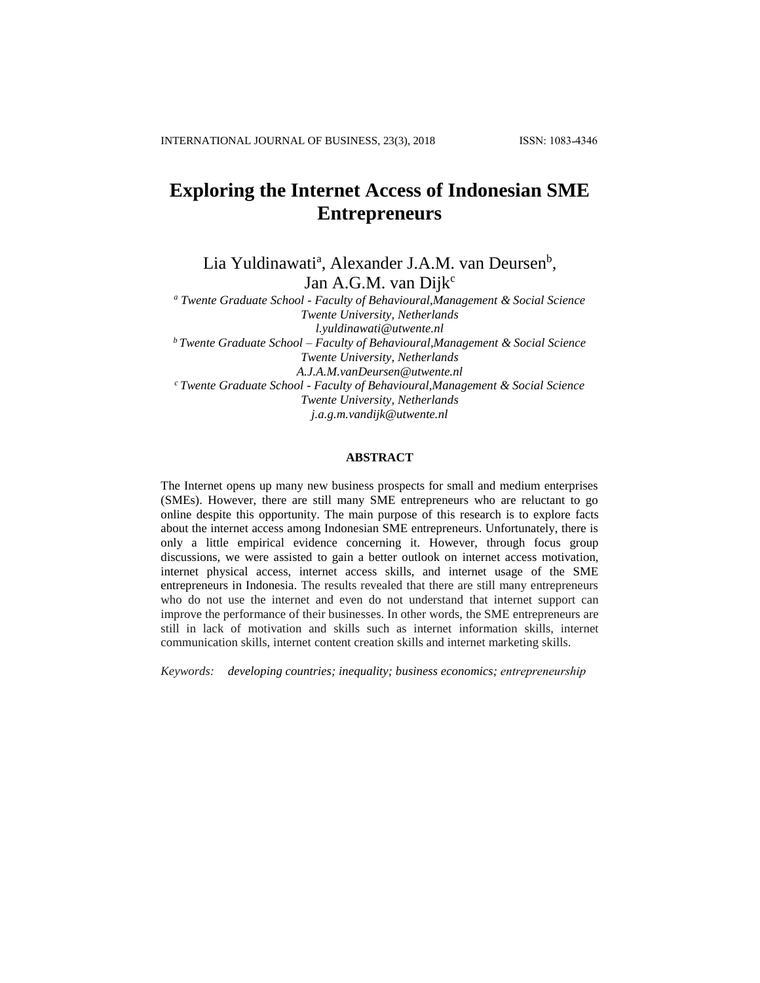# **Exploring the Internet Access of Indonesian SME Entrepreneurs**

Lia Yuldinawati<sup>a</sup>, Alexander J.A.M. van Deursen<sup>b</sup>, Jan A.G.M. van Dijk<sup>c</sup>

*<sup>a</sup> Twente Graduate School - Faculty of Behavioural,Management & Social Science Twente University, Netherlands l.yuldinawati@utwente.nl <sup>b</sup>Twente Graduate School – Faculty of Behavioural,Management & Social Science Twente University, Netherlands A.J.A.M.vanDeursen@utwente.nl <sup>c</sup>Twente Graduate School - Faculty of Behavioural,Management & Social Science Twente University, Netherlands j.a.g.m.vandijk@utwente.nl*

# **ABSTRACT**

The Internet opens up many new business prospects for small and medium enterprises (SMEs). However, there are still many SME entrepreneurs who are reluctant to go online despite this opportunity. The main purpose of this research is to explore facts about the internet access among Indonesian SME entrepreneurs. Unfortunately, there is only a little empirical evidence concerning it. However, through focus group discussions, we were assisted to gain a better outlook on internet access motivation, internet physical access, internet access skills, and internet usage of the SME entrepreneurs in Indonesia. The results revealed that there are still many entrepreneurs who do not use the internet and even do not understand that internet support can improve the performance of their businesses. In other words, the SME entrepreneurs are still in lack of motivation and skills such as internet information skills, internet communication skills, internet content creation skills and internet marketing skills.

*Keywords: developing countries; inequality; business economics; entrepreneurship*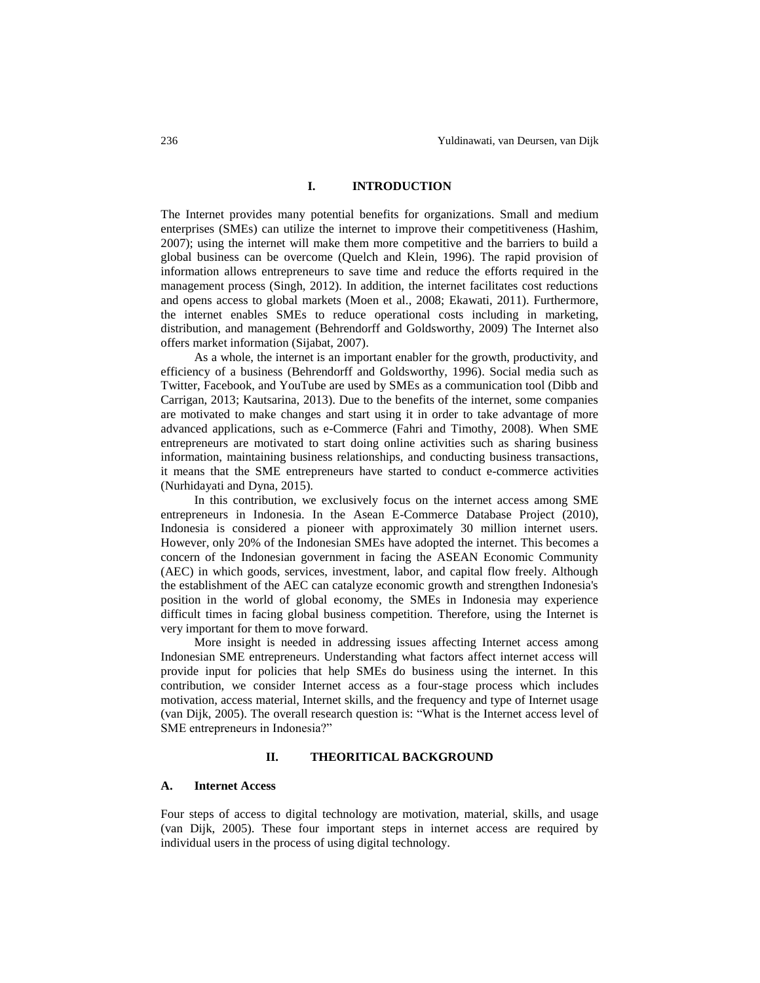#### **I. INTRODUCTION**

The Internet provides many potential benefits for organizations. Small and medium enterprises (SMEs) can utilize the internet to improve their competitiveness (Hashim, 2007); using the internet will make them more competitive and the barriers to build a global business can be overcome (Quelch and Klein, 1996). The rapid provision of information allows entrepreneurs to save time and reduce the efforts required in the management process (Singh, 2012). In addition, the internet facilitates cost reductions and opens access to global markets (Moen et al., 2008; Ekawati, 2011). Furthermore, the internet enables SMEs to reduce operational costs including in marketing, distribution, and management (Behrendorff and Goldsworthy, 2009) The Internet also offers market information (Sijabat, 2007).

As a whole, the internet is an important enabler for the growth, productivity, and efficiency of a business (Behrendorff and Goldsworthy, 1996). Social media such as Twitter, Facebook, and YouTube are used by SMEs as a communication tool (Dibb and Carrigan, 2013; Kautsarina, 2013). Due to the benefits of the internet, some companies are motivated to make changes and start using it in order to take advantage of more advanced applications, such as e-Commerce (Fahri and Timothy, 2008). When SME entrepreneurs are motivated to start doing online activities such as sharing business information, maintaining business relationships, and conducting business transactions, it means that the SME entrepreneurs have started to conduct e-commerce activities (Nurhidayati and Dyna, 2015).

In this contribution, we exclusively focus on the internet access among SME entrepreneurs in Indonesia. In the Asean E-Commerce Database Project (2010), Indonesia is considered a pioneer with approximately 30 million internet users. However, only 20% of the Indonesian SMEs have adopted the internet. This becomes a concern of the Indonesian government in facing the ASEAN Economic Community (AEC) in which goods, services, investment, labor, and capital flow freely. Although the establishment of the AEC can catalyze economic growth and strengthen Indonesia's position in the world of global economy, the SMEs in Indonesia may experience difficult times in facing global business competition. Therefore, using the Internet is very important for them to move forward.

More insight is needed in addressing issues affecting Internet access among Indonesian SME entrepreneurs. Understanding what factors affect internet access will provide input for policies that help SMEs do business using the internet. In this contribution, we consider Internet access as a four-stage process which includes motivation, access material, Internet skills, and the frequency and type of Internet usage (van Dijk, 2005). The overall research question is: "What is the Internet access level of SME entrepreneurs in Indonesia?"

# **II. THEORITICAL BACKGROUND**

#### **A. Internet Access**

Four steps of access to digital technology are motivation, material, skills, and usage (van Dijk, 2005). These four important steps in internet access are required by individual users in the process of using digital technology.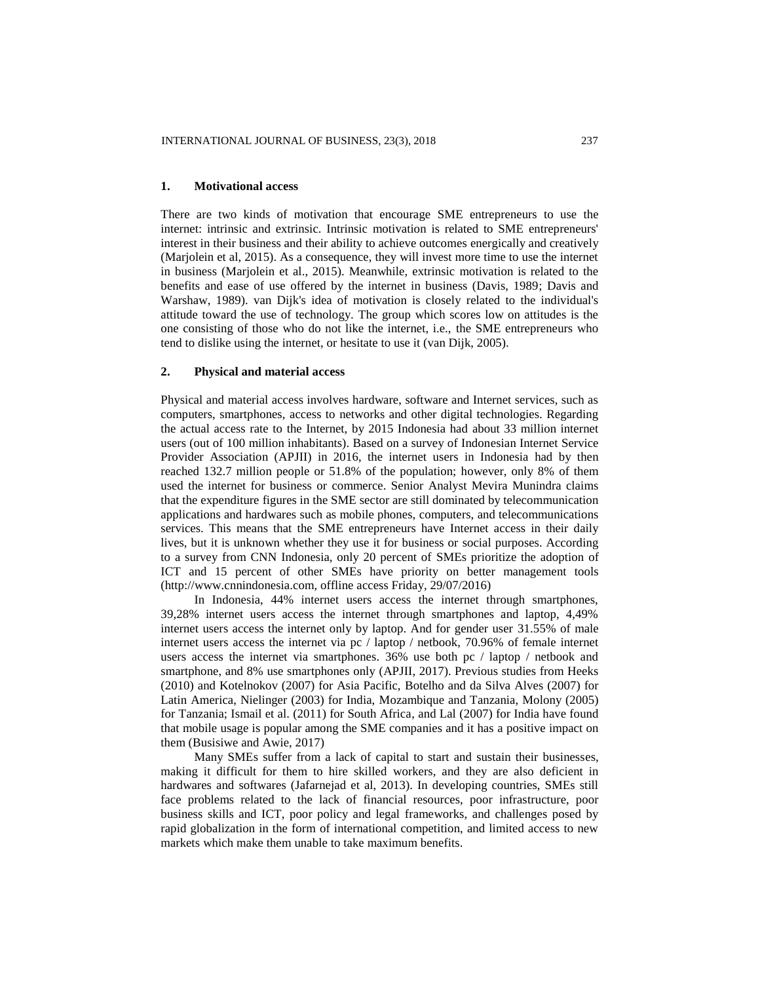#### **1. Motivational access**

There are two kinds of motivation that encourage SME entrepreneurs to use the internet: intrinsic and extrinsic. Intrinsic motivation is related to SME entrepreneurs' interest in their business and their ability to achieve outcomes energically and creatively (Marjolein et al, 2015). As a consequence, they will invest more time to use the internet in business (Marjolein et al., 2015). Meanwhile, extrinsic motivation is related to the benefits and ease of use offered by the internet in business (Davis, 1989; Davis and Warshaw, 1989). van Dijk's idea of motivation is closely related to the individual's attitude toward the use of technology. The group which scores low on attitudes is the one consisting of those who do not like the internet, i.e., the SME entrepreneurs who tend to dislike using the internet, or hesitate to use it (van Dijk, 2005).

## **2. Physical and material access**

Physical and material access involves hardware, software and Internet services, such as computers, smartphones, access to networks and other digital technologies. Regarding the actual access rate to the Internet, by 2015 Indonesia had about 33 million internet users (out of 100 million inhabitants). Based on a survey of Indonesian Internet Service Provider Association (APJII) in 2016, the internet users in Indonesia had by then reached 132.7 million people or 51.8% of the population; however, only 8% of them used the internet for business or commerce. Senior Analyst Mevira Munindra claims that the expenditure figures in the SME sector are still dominated by telecommunication applications and hardwares such as mobile phones, computers, and telecommunications services. This means that the SME entrepreneurs have Internet access in their daily lives, but it is unknown whether they use it for business or social purposes. According to a survey from CNN Indonesia, only 20 percent of SMEs prioritize the adoption of ICT and 15 percent of other SMEs have priority on better management tools (http://www.cnnindonesia.com, offline access Friday, 29/07/2016)

In Indonesia, 44% internet users access the internet through smartphones, 39,28% internet users access the internet through smartphones and laptop, 4,49% internet users access the internet only by laptop. And for gender user 31.55% of male internet users access the internet via pc / laptop / netbook, 70.96% of female internet users access the internet via smartphones. 36% use both pc / laptop / netbook and smartphone, and 8% use smartphones only (APJII, 2017). Previous studies from Heeks (2010) and Kotelnokov (2007) for Asia Pacific, Botelho and da Silva Alves (2007) for Latin America, Nielinger (2003) for India, Mozambique and Tanzania, Molony (2005) for Tanzania; Ismail et al. (2011) for South Africa, and Lal (2007) for India have found that mobile usage is popular among the SME companies and it has a positive impact on them (Busisiwe and Awie, 2017)

Many SMEs suffer from a lack of capital to start and sustain their businesses, making it difficult for them to hire skilled workers, and they are also deficient in hardwares and softwares (Jafarnejad et al, 2013). In developing countries, SMEs still face problems related to the lack of financial resources, poor infrastructure, poor business skills and ICT, poor policy and legal frameworks, and challenges posed by rapid globalization in the form of international competition, and limited access to new markets which make them unable to take maximum benefits.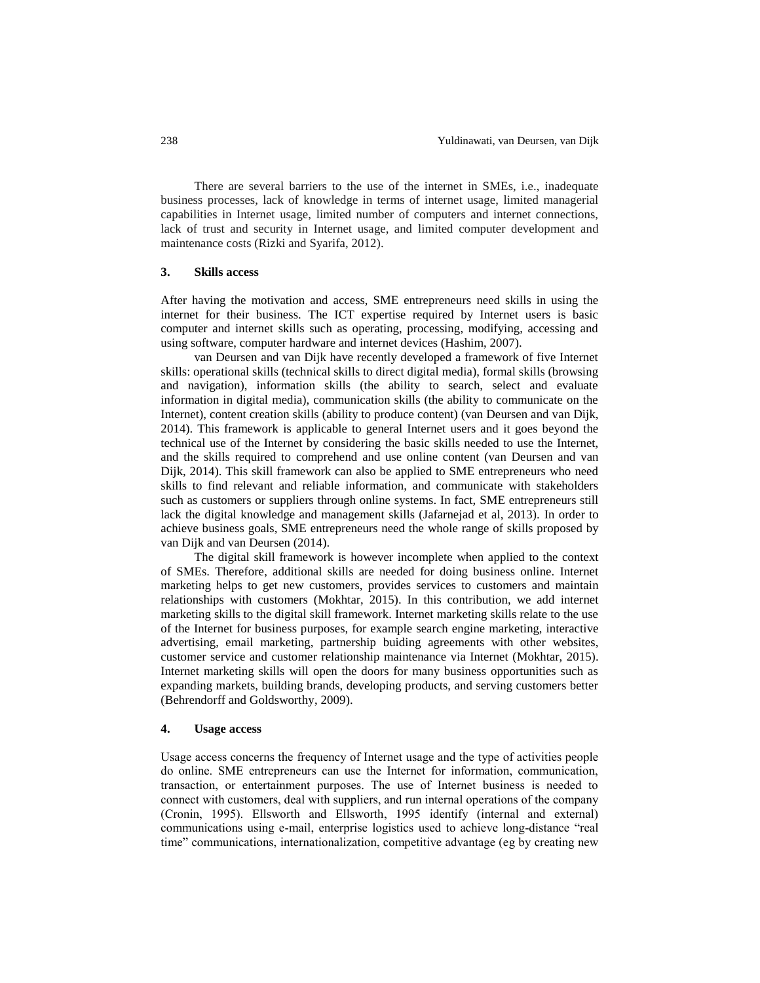There are several barriers to the use of the internet in SMEs, i.e., inadequate business processes, lack of knowledge in terms of internet usage, limited managerial capabilities in Internet usage, limited number of computers and internet connections, lack of trust and security in Internet usage, and limited computer development and maintenance costs (Rizki and Syarifa, 2012).

#### **3. Skills access**

After having the motivation and access, SME entrepreneurs need skills in using the internet for their business. The ICT expertise required by Internet users is basic computer and internet skills such as operating, processing, modifying, accessing and using software, computer hardware and internet devices (Hashim, 2007).

van Deursen and van Dijk have recently developed a framework of five Internet skills: operational skills (technical skills to direct digital media), formal skills (browsing and navigation), information skills (the ability to search, select and evaluate information in digital media), communication skills (the ability to communicate on the Internet), content creation skills (ability to produce content) (van Deursen and van Dijk, 2014). This framework is applicable to general Internet users and it goes beyond the technical use of the Internet by considering the basic skills needed to use the Internet, and the skills required to comprehend and use online content (van Deursen and van Dijk, 2014). This skill framework can also be applied to SME entrepreneurs who need skills to find relevant and reliable information, and communicate with stakeholders such as customers or suppliers through online systems. In fact, SME entrepreneurs still lack the digital knowledge and management skills (Jafarnejad et al, 2013). In order to achieve business goals, SME entrepreneurs need the whole range of skills proposed by van Dijk and van Deursen (2014).

The digital skill framework is however incomplete when applied to the context of SMEs. Therefore, additional skills are needed for doing business online. Internet marketing helps to get new customers, provides services to customers and maintain relationships with customers (Mokhtar, 2015). In this contribution, we add internet marketing skills to the digital skill framework. Internet marketing skills relate to the use of the Internet for business purposes, for example search engine marketing, interactive advertising, email marketing, partnership buiding agreements with other websites, customer service and customer relationship maintenance via Internet (Mokhtar, 2015). Internet marketing skills will open the doors for many business opportunities such as expanding markets, building brands, developing products, and serving customers better (Behrendorff and Goldsworthy, 2009).

#### **4. Usage access**

Usage access concerns the frequency of Internet usage and the type of activities people do online. SME entrepreneurs can use the Internet for information, communication, transaction, or entertainment purposes. The use of Internet business is needed to connect with customers, deal with suppliers, and run internal operations of the company (Cronin, 1995). Ellsworth and Ellsworth, 1995 identify (internal and external) communications using e-mail, enterprise logistics used to achieve long-distance "real time" communications, internationalization, competitive advantage (eg by creating new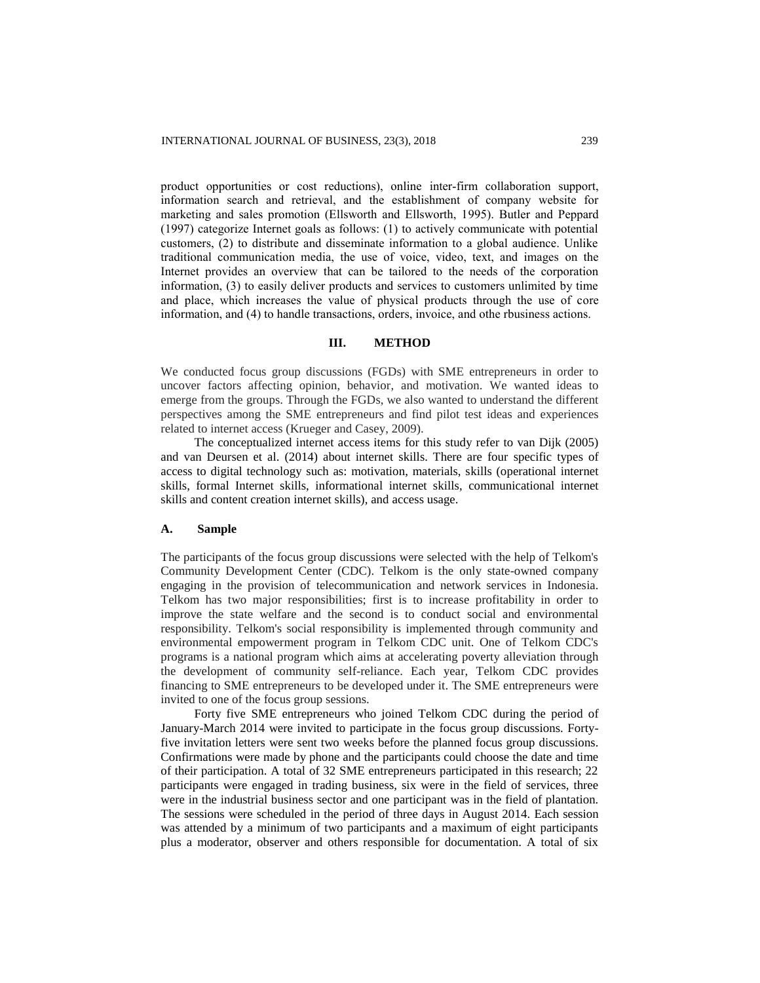product opportunities or cost reductions), online inter-firm collaboration support, information search and retrieval, and the establishment of company website for marketing and sales promotion (Ellsworth and Ellsworth, 1995). Butler and Peppard (1997) categorize Internet goals as follows: (1) to actively communicate with potential customers, (2) to distribute and disseminate information to a global audience. Unlike traditional communication media, the use of voice, video, text, and images on the Internet provides an overview that can be tailored to the needs of the corporation information, (3) to easily deliver products and services to customers unlimited by time and place, which increases the value of physical products through the use of core information, and (4) to handle transactions, orders, invoice, and othe rbusiness actions.

#### **III. METHOD**

We conducted focus group discussions (FGDs) with SME entrepreneurs in order to uncover factors affecting opinion, behavior, and motivation. We wanted ideas to emerge from the groups. Through the FGDs, we also wanted to understand the different perspectives among the SME entrepreneurs and find pilot test ideas and experiences related to internet access (Krueger and Casey, 2009).

The conceptualized internet access items for this study refer to van Dijk (2005) and van Deursen et al. (2014) about internet skills. There are four specific types of access to digital technology such as: motivation, materials, skills (operational internet skills, formal Internet skills, informational internet skills, communicational internet skills and content creation internet skills), and access usage.

# **A. Sample**

The participants of the focus group discussions were selected with the help of Telkom's Community Development Center (CDC). Telkom is the only state-owned company engaging in the provision of telecommunication and network services in Indonesia. Telkom has two major responsibilities; first is to increase profitability in order to improve the state welfare and the second is to conduct social and environmental responsibility. Telkom's social responsibility is implemented through community and environmental empowerment program in Telkom CDC unit. One of Telkom CDC's programs is a national program which aims at accelerating poverty alleviation through the development of community self-reliance. Each year, Telkom CDC provides financing to SME entrepreneurs to be developed under it. The SME entrepreneurs were invited to one of the focus group sessions.

Forty five SME entrepreneurs who joined Telkom CDC during the period of January-March 2014 were invited to participate in the focus group discussions. Fortyfive invitation letters were sent two weeks before the planned focus group discussions. Confirmations were made by phone and the participants could choose the date and time of their participation. A total of 32 SME entrepreneurs participated in this research; 22 participants were engaged in trading business, six were in the field of services, three were in the industrial business sector and one participant was in the field of plantation. The sessions were scheduled in the period of three days in August 2014. Each session was attended by a minimum of two participants and a maximum of eight participants plus a moderator, observer and others responsible for documentation. A total of six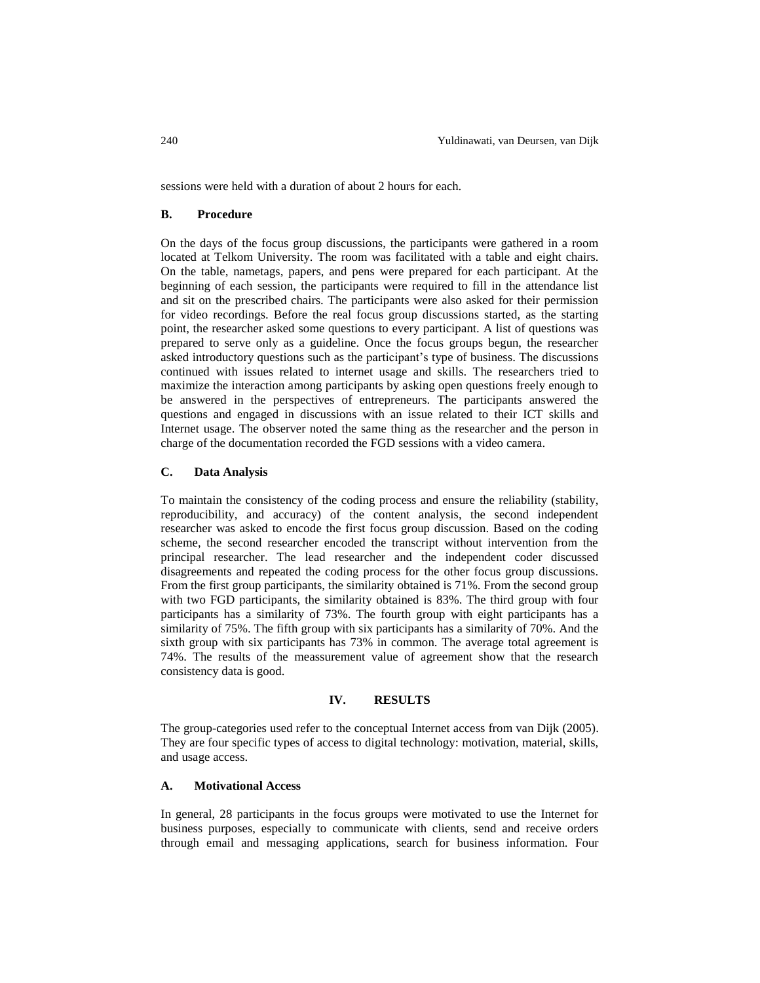sessions were held with a duration of about 2 hours for each.

# **B. Procedure**

On the days of the focus group discussions, the participants were gathered in a room located at Telkom University. The room was facilitated with a table and eight chairs. On the table, nametags, papers, and pens were prepared for each participant. At the beginning of each session, the participants were required to fill in the attendance list and sit on the prescribed chairs. The participants were also asked for their permission for video recordings. Before the real focus group discussions started, as the starting point, the researcher asked some questions to every participant. A list of questions was prepared to serve only as a guideline. Once the focus groups begun, the researcher asked introductory questions such as the participant's type of business. The discussions continued with issues related to internet usage and skills. The researchers tried to maximize the interaction among participants by asking open questions freely enough to be answered in the perspectives of entrepreneurs. The participants answered the questions and engaged in discussions with an issue related to their ICT skills and Internet usage. The observer noted the same thing as the researcher and the person in charge of the documentation recorded the FGD sessions with a video camera.

#### **C. Data Analysis**

To maintain the consistency of the coding process and ensure the reliability (stability, reproducibility, and accuracy) of the content analysis, the second independent researcher was asked to encode the first focus group discussion. Based on the coding scheme, the second researcher encoded the transcript without intervention from the principal researcher. The lead researcher and the independent coder discussed disagreements and repeated the coding process for the other focus group discussions. From the first group participants, the similarity obtained is 71%. From the second group with two FGD participants, the similarity obtained is 83%. The third group with four participants has a similarity of 73%. The fourth group with eight participants has a similarity of 75%. The fifth group with six participants has a similarity of 70%. And the sixth group with six participants has 73% in common. The average total agreement is 74%. The results of the meassurement value of agreement show that the research consistency data is good.

#### **IV. RESULTS**

The group-categories used refer to the conceptual Internet access from van Dijk (2005). They are four specific types of access to digital technology: motivation, material, skills, and usage access.

# **A. Motivational Access**

In general, 28 participants in the focus groups were motivated to use the Internet for business purposes, especially to communicate with clients, send and receive orders through email and messaging applications, search for business information. Four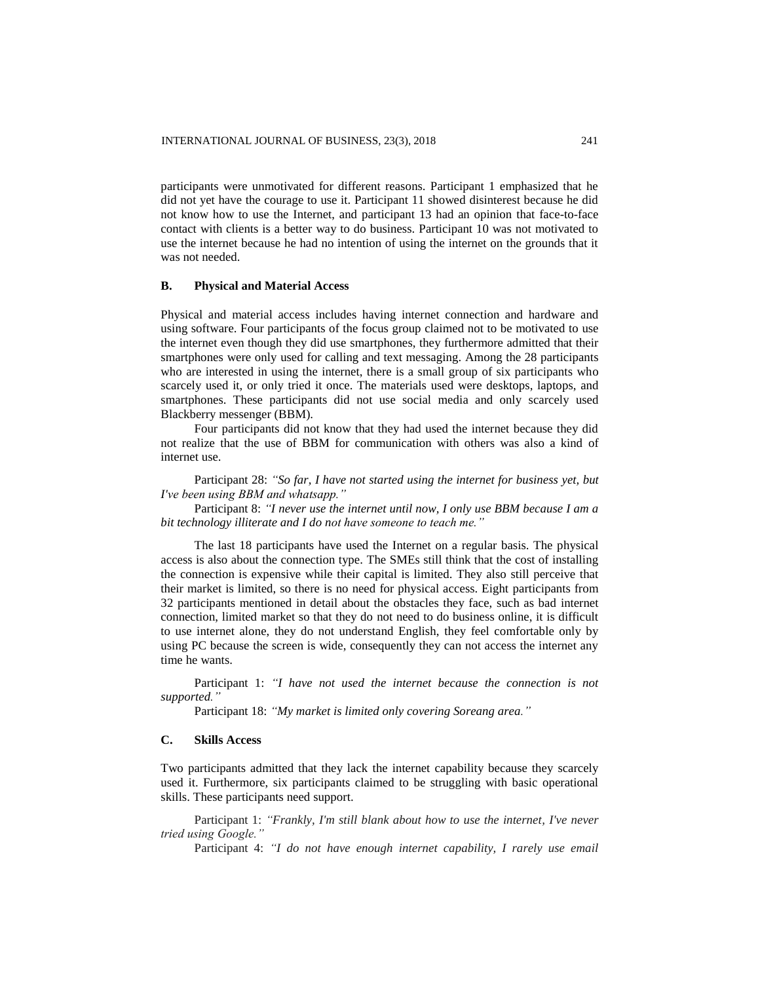participants were unmotivated for different reasons. Participant 1 emphasized that he did not yet have the courage to use it. Participant 11 showed disinterest because he did not know how to use the Internet, and participant 13 had an opinion that face-to-face contact with clients is a better way to do business. Participant 10 was not motivated to use the internet because he had no intention of using the internet on the grounds that it was not needed.

# **B. Physical and Material Access**

Physical and material access includes having internet connection and hardware and using software. Four participants of the focus group claimed not to be motivated to use the internet even though they did use smartphones, they furthermore admitted that their smartphones were only used for calling and text messaging. Among the 28 participants who are interested in using the internet, there is a small group of six participants who scarcely used it, or only tried it once. The materials used were desktops, laptops, and smartphones. These participants did not use social media and only scarcely used Blackberry messenger (BBM).

Four participants did not know that they had used the internet because they did not realize that the use of BBM for communication with others was also a kind of internet use.

Participant 28: *"So far, I have not started using the internet for business yet, but I've been using BBM and whatsapp."*

Participant 8: *"I never use the internet until now, I only use BBM because I am a bit technology illiterate and I do not have someone to teach me."*

The last 18 participants have used the Internet on a regular basis. The physical access is also about the connection type. The SMEs still think that the cost of installing the connection is expensive while their capital is limited. They also still perceive that their market is limited, so there is no need for physical access. Eight participants from 32 participants mentioned in detail about the obstacles they face, such as bad internet connection, limited market so that they do not need to do business online, it is difficult to use internet alone, they do not understand English, they feel comfortable only by using PC because the screen is wide, consequently they can not access the internet any time he wants.

Participant 1: *"I have not used the internet because the connection is not supported."*

Participant 18: *"My market is limited only covering Soreang area."*

# **C. Skills Access**

Two participants admitted that they lack the internet capability because they scarcely used it. Furthermore, six participants claimed to be struggling with basic operational skills. These participants need support.

Participant 1: *"Frankly, I'm still blank about how to use the internet, I've never tried using Google."*

Participant 4: *"I do not have enough internet capability, I rarely use email*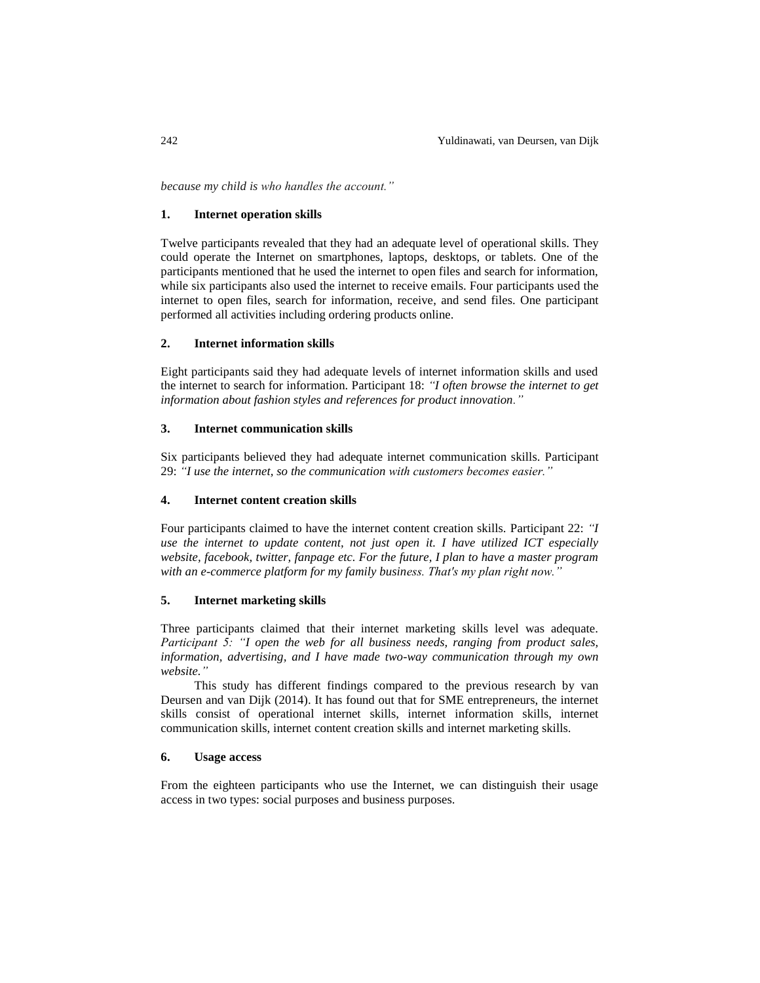*because my child is who handles the account."*

#### **1. Internet operation skills**

Twelve participants revealed that they had an adequate level of operational skills. They could operate the Internet on smartphones, laptops, desktops, or tablets. One of the participants mentioned that he used the internet to open files and search for information, while six participants also used the internet to receive emails. Four participants used the internet to open files, search for information, receive, and send files. One participant performed all activities including ordering products online.

#### **2. Internet information skills**

Eight participants said they had adequate levels of internet information skills and used the internet to search for information. Participant 18: *"I often browse the internet to get information about fashion styles and references for product innovation."*

# **3. Internet communication skills**

Six participants believed they had adequate internet communication skills. Participant 29: *"I use the internet, so the communication with customers becomes easier."*

#### **4. Internet content creation skills**

Four participants claimed to have the internet content creation skills. Participant 22: *"I use the internet to update content, not just open it. I have utilized ICT especially website, facebook, twitter, fanpage etc. For the future, I plan to have a master program with an e-commerce platform for my family business. That's my plan right now."*

# **5. Internet marketing skills**

Three participants claimed that their internet marketing skills level was adequate. *Participant 5: "I open the web for all business needs, ranging from product sales, information, advertising, and I have made two-way communication through my own website."*

This study has different findings compared to the previous research by van Deursen and van Dijk (2014). It has found out that for SME entrepreneurs, the internet skills consist of operational internet skills, internet information skills, internet communication skills, internet content creation skills and internet marketing skills.

#### **6. Usage access**

From the eighteen participants who use the Internet, we can distinguish their usage access in two types: social purposes and business purposes.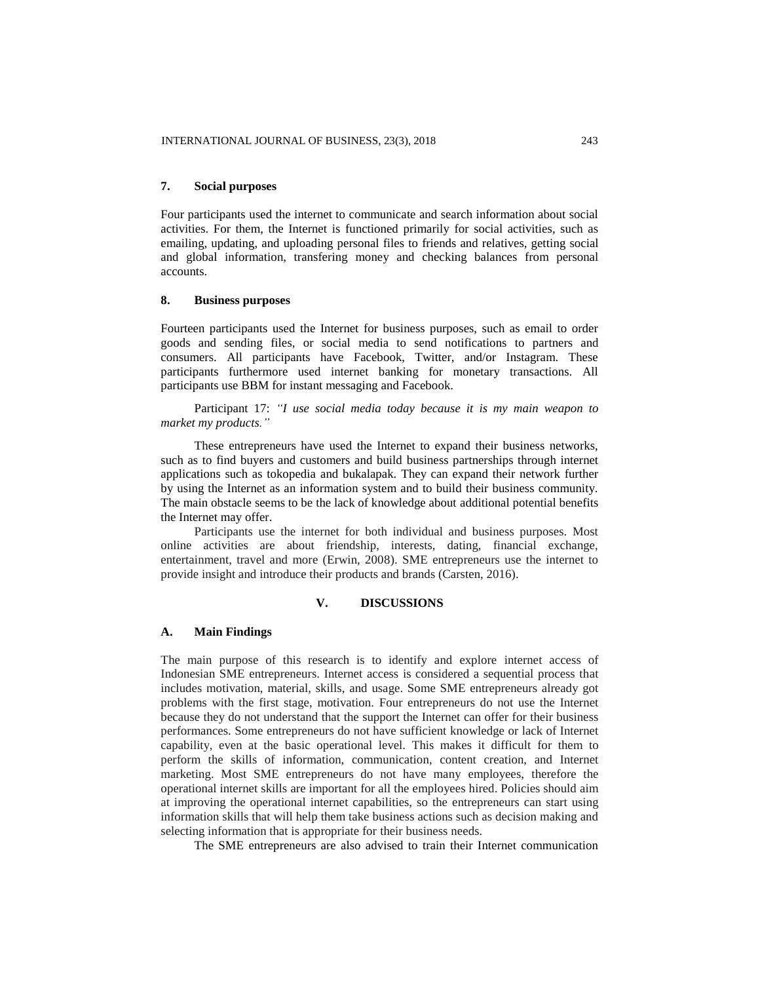## **7. Social purposes**

Four participants used the internet to communicate and search information about social activities. For them, the Internet is functioned primarily for social activities, such as emailing, updating, and uploading personal files to friends and relatives, getting social and global information, transfering money and checking balances from personal accounts.

# **8. Business purposes**

Fourteen participants used the Internet for business purposes, such as email to order goods and sending files, or social media to send notifications to partners and consumers. All participants have Facebook, Twitter, and/or Instagram. These participants furthermore used internet banking for monetary transactions. All participants use BBM for instant messaging and Facebook.

Participant 17: *"I use social media today because it is my main weapon to market my products."*

These entrepreneurs have used the Internet to expand their business networks, such as to find buyers and customers and build business partnerships through internet applications such as tokopedia and bukalapak. They can expand their network further by using the Internet as an information system and to build their business community. The main obstacle seems to be the lack of knowledge about additional potential benefits the Internet may offer.

Participants use the internet for both individual and business purposes. Most online activities are about friendship, interests, dating, financial exchange, entertainment, travel and more (Erwin, 2008). SME entrepreneurs use the internet to provide insight and introduce their products and brands (Carsten, 2016).

## **V. DISCUSSIONS**

#### **A. Main Findings**

The main purpose of this research is to identify and explore internet access of Indonesian SME entrepreneurs. Internet access is considered a sequential process that includes motivation, material, skills, and usage. Some SME entrepreneurs already got problems with the first stage, motivation. Four entrepreneurs do not use the Internet because they do not understand that the support the Internet can offer for their business performances. Some entrepreneurs do not have sufficient knowledge or lack of Internet capability, even at the basic operational level. This makes it difficult for them to perform the skills of information, communication, content creation, and Internet marketing. Most SME entrepreneurs do not have many employees, therefore the operational internet skills are important for all the employees hired. Policies should aim at improving the operational internet capabilities, so the entrepreneurs can start using information skills that will help them take business actions such as decision making and selecting information that is appropriate for their business needs.

The SME entrepreneurs are also advised to train their Internet communication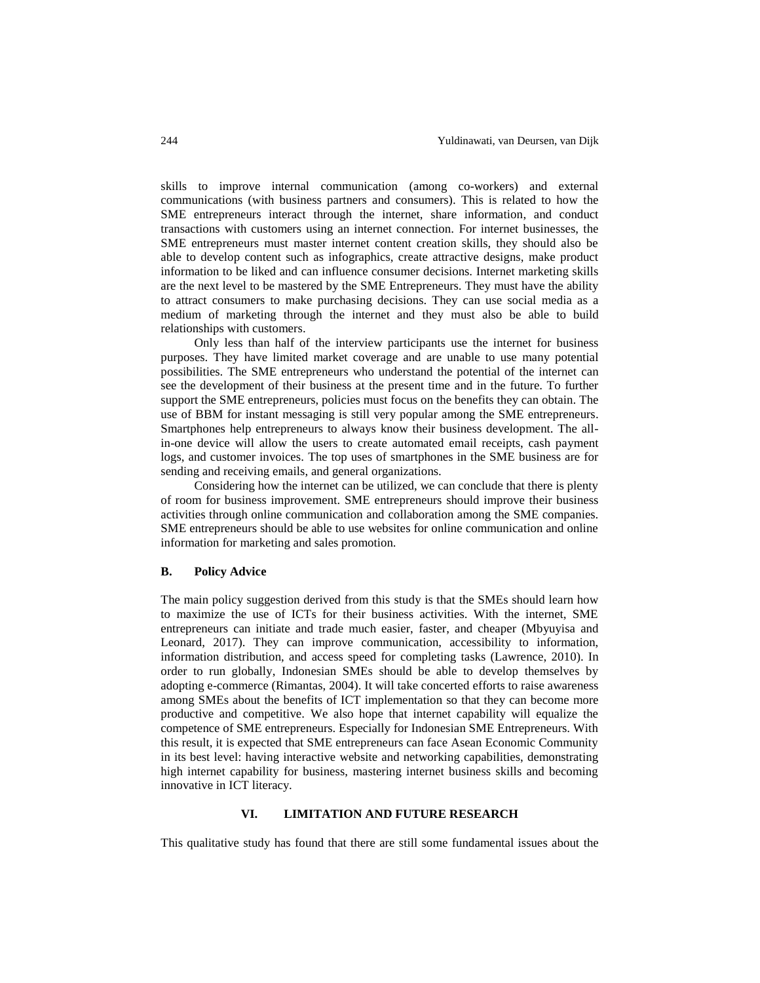skills to improve internal communication (among co-workers) and external communications (with business partners and consumers). This is related to how the SME entrepreneurs interact through the internet, share information, and conduct transactions with customers using an internet connection. For internet businesses, the SME entrepreneurs must master internet content creation skills, they should also be able to develop content such as infographics, create attractive designs, make product information to be liked and can influence consumer decisions. Internet marketing skills are the next level to be mastered by the SME Entrepreneurs. They must have the ability to attract consumers to make purchasing decisions. They can use social media as a medium of marketing through the internet and they must also be able to build relationships with customers.

Only less than half of the interview participants use the internet for business purposes. They have limited market coverage and are unable to use many potential possibilities. The SME entrepreneurs who understand the potential of the internet can see the development of their business at the present time and in the future. To further support the SME entrepreneurs, policies must focus on the benefits they can obtain. The use of BBM for instant messaging is still very popular among the SME entrepreneurs. Smartphones help entrepreneurs to always know their business development. The allin-one device will allow the users to create automated email receipts, cash payment logs, and customer invoices. The top uses of smartphones in the SME business are for sending and receiving emails, and general organizations.

Considering how the internet can be utilized, we can conclude that there is plenty of room for business improvement. SME entrepreneurs should improve their business activities through online communication and collaboration among the SME companies. SME entrepreneurs should be able to use websites for online communication and online information for marketing and sales promotion.

#### **B. Policy Advice**

The main policy suggestion derived from this study is that the SMEs should learn how to maximize the use of ICTs for their business activities. With the internet, SME entrepreneurs can initiate and trade much easier, faster, and cheaper (Mbyuyisa and Leonard, 2017). They can improve communication, accessibility to information, information distribution, and access speed for completing tasks (Lawrence, 2010). In order to run globally, Indonesian SMEs should be able to develop themselves by adopting e-commerce (Rimantas, 2004). It will take concerted efforts to raise awareness among SMEs about the benefits of ICT implementation so that they can become more productive and competitive. We also hope that internet capability will equalize the competence of SME entrepreneurs. Especially for Indonesian SME Entrepreneurs. With this result, it is expected that SME entrepreneurs can face Asean Economic Community in its best level: having interactive website and networking capabilities, demonstrating high internet capability for business, mastering internet business skills and becoming innovative in ICT literacy.

# **VI. LIMITATION AND FUTURE RESEARCH**

This qualitative study has found that there are still some fundamental issues about the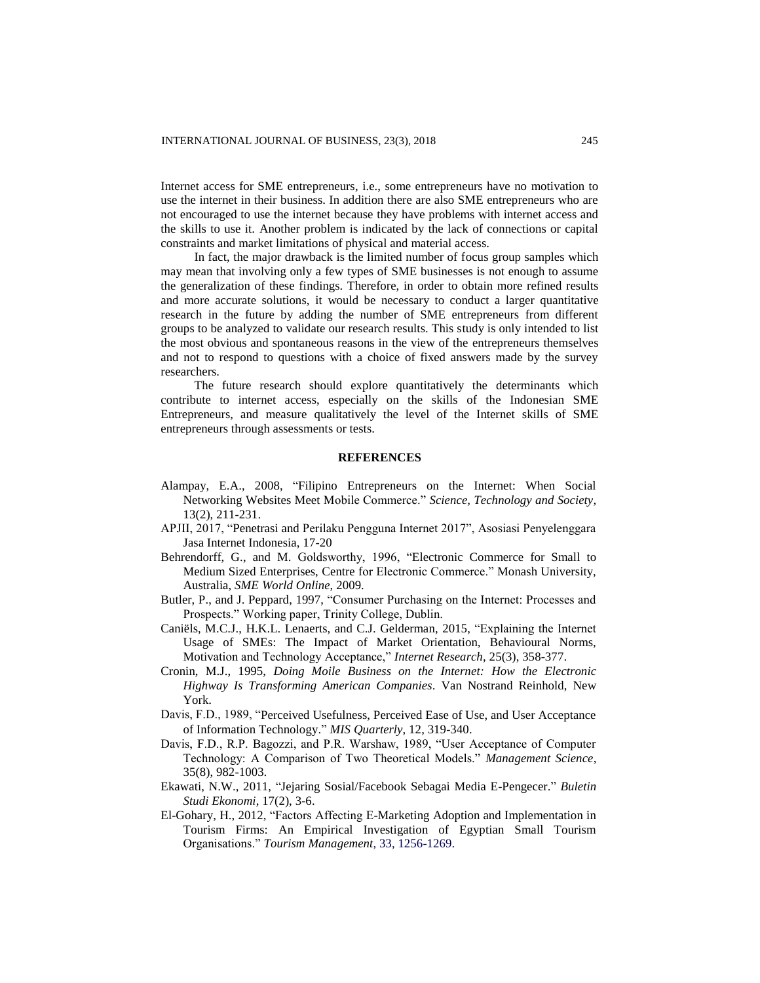Internet access for SME entrepreneurs, i.e., some entrepreneurs have no motivation to use the internet in their business. In addition there are also SME entrepreneurs who are not encouraged to use the internet because they have problems with internet access and the skills to use it. Another problem is indicated by the lack of connections or capital constraints and market limitations of physical and material access.

In fact, the major drawback is the limited number of focus group samples which may mean that involving only a few types of SME businesses is not enough to assume the generalization of these findings. Therefore, in order to obtain more refined results and more accurate solutions, it would be necessary to conduct a larger quantitative research in the future by adding the number of SME entrepreneurs from different groups to be analyzed to validate our research results. This study is only intended to list the most obvious and spontaneous reasons in the view of the entrepreneurs themselves and not to respond to questions with a choice of fixed answers made by the survey researchers.

The future research should explore quantitatively the determinants which contribute to internet access, especially on the skills of the Indonesian SME Entrepreneurs, and measure qualitatively the level of the Internet skills of SME entrepreneurs through assessments or tests.

#### **REFERENCES**

- Alampay, E.A., 2008, "Filipino Entrepreneurs on the Internet: When Social Networking Websites Meet Mobile Commerce." *Science, Technology and Society*, 13(2), 211-231.
- APJII, 2017, "Penetrasi and Perilaku Pengguna Internet 2017", Asosiasi Penyelenggara Jasa Internet Indonesia, 17-20
- Behrendorff, G., and M. Goldsworthy, 1996, "Electronic Commerce for Small to Medium Sized Enterprises, Centre for Electronic Commerce." Monash University, Australia, *SME World Online*, 2009.
- Butler, P., and J. Peppard, 1997, "Consumer Purchasing on the Internet: Processes and Prospects." Working paper, Trinity College, Dublin.
- Caniëls, M.C.J., H.K.L. Lenaerts, and C.J. Gelderman, 2015, "Explaining the Internet Usage of SMEs: The Impact of Market Orientation, Behavioural Norms, Motivation and Technology Acceptance," *Internet Research*, 25(3), 358-377.
- Cronin, M.J., 1995, *Doing Moile Business on the Internet: How the Electronic Highway Is Transforming American Companies*. Van Nostrand Reinhold, New York.
- Davis, F.D., 1989, "Perceived Usefulness, Perceived Ease of Use, and User Acceptance of Information Technology." *MIS Quarterly*, 12, 319-340.
- Davis, F.D., R.P. Bagozzi, and P.R. Warshaw, 1989, "User Acceptance of Computer Technology: A Comparison of Two Theoretical Models." *Management Science*, 35(8), 982-1003.
- Ekawati, N.W., 2011, "Jejaring Sosial/Facebook Sebagai Media E-Pengecer." *Buletin Studi Ekonomi*, 17(2), 3-6.
- El-Gohary, H., 2012, "Factors Affecting E-Marketing Adoption and Implementation in Tourism Firms: An Empirical Investigation of Egyptian Small Tourism Organisations." *Tourism Management*, 33, 1256-1269.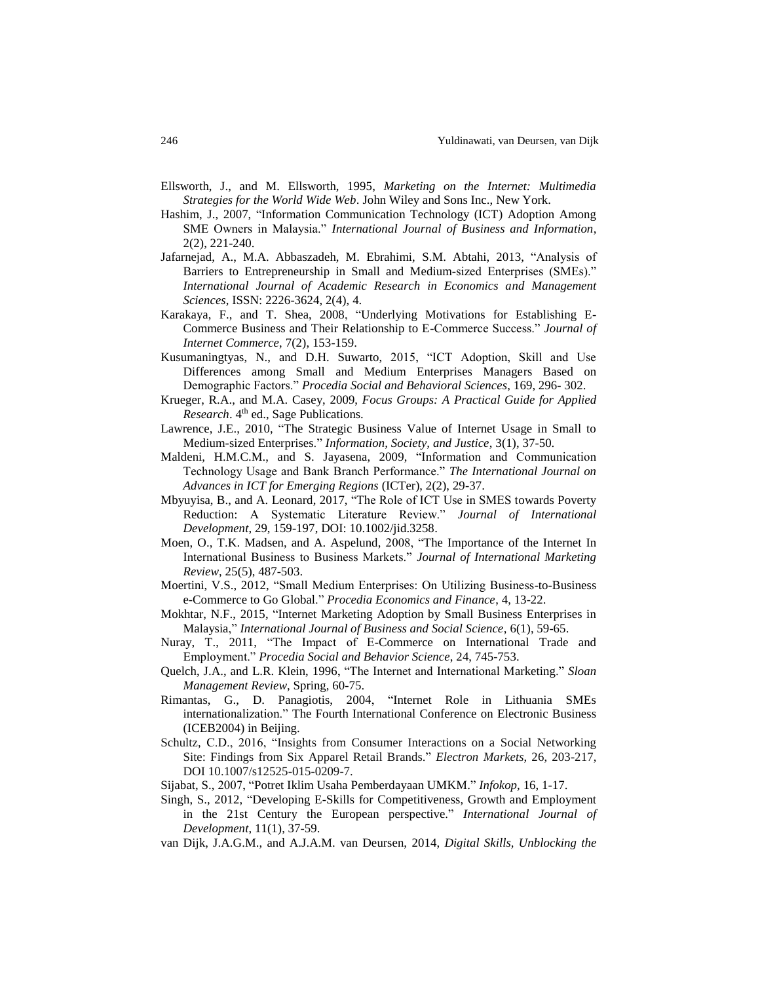- Ellsworth, J., and M. Ellsworth, 1995, *Marketing on the Internet: Multimedia Strategies for the World Wide Web*. John Wiley and Sons Inc., New York.
- Hashim, J., 2007, "Information Communication Technology (ICT) Adoption Among SME Owners in Malaysia." *International Journal of Business and Information*, 2(2), 221-240.
- Jafarnejad, A., M.A. Abbaszadeh, M. Ebrahimi, S.M. Abtahi, 2013, "Analysis of Barriers to Entrepreneurship in Small and Medium-sized Enterprises (SMEs)." *International Journal of Academic Research in Economics and Management Sciences*, ISSN: 2226-3624, 2(4), 4.
- Karakaya, F., and T. Shea, 2008, "Underlying Motivations for Establishing E-Commerce Business and Their Relationship to E-Commerce Success." *Journal of Internet Commerce*, 7(2), 153-159.
- Kusumaningtyas, N., and D.H. Suwarto, 2015, "ICT Adoption, Skill and Use Differences among Small and Medium Enterprises Managers Based on Demographic Factors." *Procedia Social and Behavioral Sciences*, 169, 296- 302.
- Krueger, R.A., and M.A. Casey, 2009, *Focus Groups: A Practical Guide for Applied Research*. 4<sup>th</sup> ed., Sage Publications.
- Lawrence, J.E., 2010, "The Strategic Business Value of Internet Usage in Small to Medium-sized Enterprises." *Information, Society, and Justice*, 3(1), 37-50.
- Maldeni, H.M.C.M., and S. Jayasena, 2009, "Information and Communication Technology Usage and Bank Branch Performance." *The International Journal on Advances in ICT for Emerging Regions* (ICTer), 2(2), 29-37.
- Mbyuyisa, B., and A. Leonard, 2017, "The Role of ICT Use in SMES towards Poverty Reduction: A Systematic Literature Review." *Journal of International Development*, 29, 159-197, DOI: 10.1002/jid.3258.
- Moen, O., T.K. Madsen, and A. Aspelund, 2008, "The Importance of the Internet In International Business to Business Markets." *Journal of International Marketing Review*, 25(5), 487-503.
- Moertini, V.S., 2012, "Small Medium Enterprises: On Utilizing Business-to-Business e-Commerce to Go Global." *Procedia Economics and Finance*, 4, 13-22.
- Mokhtar, N.F., 2015, "Internet Marketing Adoption by Small Business Enterprises in Malaysia," *International Journal of Business and Social Science*, 6(1), 59-65.
- Nuray, T., 2011, "The Impact of E-Commerce on International Trade and Employment." *Procedia Social and Behavior Science*, 24, 745-753.
- Quelch, J.A., and L.R. Klein, 1996, "The Internet and International Marketing." *Sloan Management Review*, Spring, 60-75.
- Rimantas, G., D. Panagiotis, 2004, "Internet Role in Lithuania SMEs internationalization." The Fourth International Conference on Electronic Business (ICEB2004) in Beijing.
- Schultz, C.D., 2016, "Insights from Consumer Interactions on a Social Networking Site: Findings from Six Apparel Retail Brands." *Electron Markets*, 26, 203-217, DOI 10.1007/s12525-015-0209-7.
- Sijabat, S., 2007, "Potret Iklim Usaha Pemberdayaan UMKM." *Infokop,* 16, 1-17.
- Singh, S., 2012, "Developing E-Skills for Competitiveness, Growth and Employment in the 21st Century the European perspective." *International Journal of Development*, 11(1), 37-59.
- van Dijk, J.A.G.M., and A.J.A.M. van Deursen, 2014, *Digital Skills, Unblocking the*